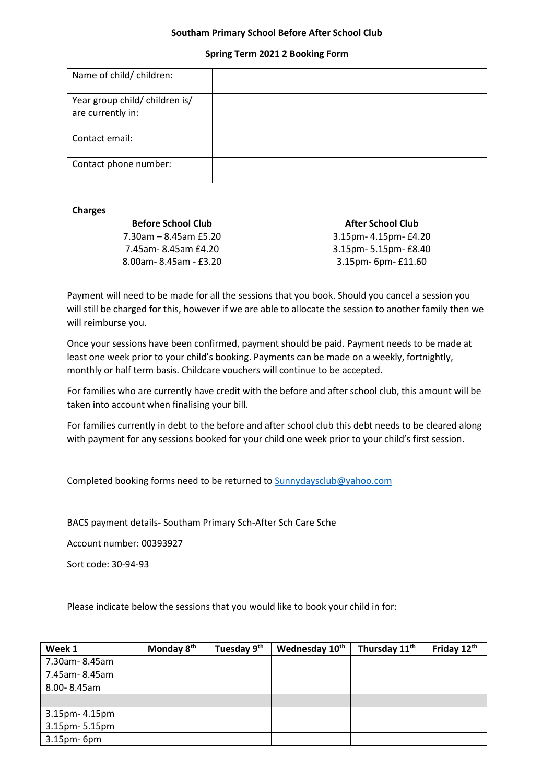## **Southam Primary School Before After School Club**

## **Spring Term 2021 2 Booking Form**

| Name of child/ children:                            |  |
|-----------------------------------------------------|--|
| Year group child/ children is/<br>are currently in: |  |
| Contact email:                                      |  |
| Contact phone number:                               |  |

| <b>Charges</b>            |                          |
|---------------------------|--------------------------|
| <b>Before School Club</b> | <b>After School Club</b> |
| 7.30am – 8.45am £5.20     | 3.15pm- 4.15pm- £4.20    |
| 7.45am-8.45am £4.20       | 3.15pm- 5.15pm- £8.40    |
| 8.00am-8.45am - £3.20     | 3.15pm- 6pm- £11.60      |

Payment will need to be made for all the sessions that you book. Should you cancel a session you will still be charged for this, however if we are able to allocate the session to another family then we will reimburse you.

Once your sessions have been confirmed, payment should be paid. Payment needs to be made at least one week prior to your child's booking. Payments can be made on a weekly, fortnightly, monthly or half term basis. Childcare vouchers will continue to be accepted.

For families who are currently have credit with the before and after school club, this amount will be taken into account when finalising your bill.

For families currently in debt to the before and after school club this debt needs to be cleared along with payment for any sessions booked for your child one week prior to your child's first session.

Completed booking forms need to be returned to [Sunnydaysclub@yahoo.com](mailto:Sunnydaysclub@yahoo.com)

BACS payment details- Southam Primary Sch-After Sch Care Sche

Account number: 00393927

Sort code: 30-94-93

Please indicate below the sessions that you would like to book your child in for:

| Week 1            | Monday 8 <sup>th</sup> | Tuesday 9 <sup>th</sup> | Wednesday 10th | Thursday 11th | Friday 12th |
|-------------------|------------------------|-------------------------|----------------|---------------|-------------|
| 7.30am-8.45am     |                        |                         |                |               |             |
| 7.45am-8.45am     |                        |                         |                |               |             |
| 8.00-8.45am       |                        |                         |                |               |             |
|                   |                        |                         |                |               |             |
| 3.15pm- 4.15pm    |                        |                         |                |               |             |
| 3.15pm-5.15pm     |                        |                         |                |               |             |
| $3.15$ pm- $6$ pm |                        |                         |                |               |             |